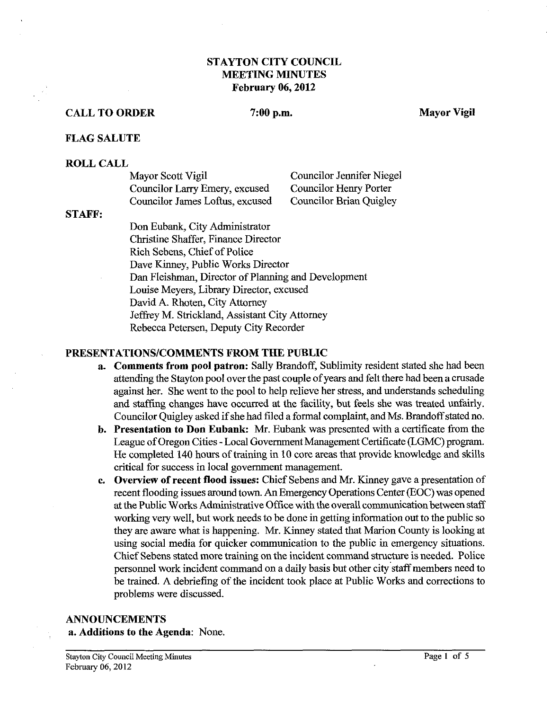## **STAYTON CITY COUNCIL MEETING MINUTES February 06,2012**

#### **CALL TO ORDER** 7:00 p.m. Mayor Vigil

#### **FLAG SALUTE**

#### **ROLL CALL**

| Mayor Scott Vigil               | Councilor Jennifer Niegel      |
|---------------------------------|--------------------------------|
| Councilor Larry Emery, excused  | <b>Councilor Henry Porter</b>  |
| Councilor James Loftus, excused | <b>Councilor Brian Quigley</b> |

#### **STAFF:**

Don Eubank, City Administrator Christine Shaffer, Finance Director Rich Sebens, Chief of Police Dave Kinney, Public Works Director Dan Fleishman, Director of Planning and Development Louise Meyers, Library Director, excused David A. Rhoten, City Attorney Jeffrey M. Strickland, Assistant City Attorney Rebecca Petersen, Deputy City Recorder

#### **PRESENTATIONSICOMMENTS FROM THE PUBLIC**

- **a. Comments from pool patron:** Sally Brandoff, Sublimity resident stated she had been attending the Stayton pool over the past couple of years and felt there had been a crusade against her. She went to the pool to help relieve her stress, and understands scheduling and staffing changes have occurred at the facility, but feels she was treated unfairly. Councilor Quigley asked if she had filed a formal complaint, and Ms. Brandoff stated no.
- **b.** Presentation to Don Eubank: Mr. Eubank was presented with a certificate from the League of Oregon Cities -Local Government Management Certificate (LGMC) program. He completed 140 hours of training in 10 core areas that provide knowledge and skills critical for success in local government management.
- **c.** Overview of recent flood issues: Chief Sebens and Mr. Kinney gave a presentation of recent flooding issues around town. An Emergency Operations Center (EOC) was opened at the Public Works Administrative Office with the overall communication between staff working very well, but work needs to be done in getting information out to the public so they are aware what is happening. Mr. Kinney stated that Marion County is looking at using social media for quicker communication to the public in emergency situations. Chief Sebens stated more training on the incident command structure is needed. Police personnel work incident command on a daily basis but other city staff members need to be trained. A debriefing of the incident took place at Public Works and corrections to problems were discussed.

# **ANNOUNCEMENTS**

**a. Additions to the Agenda:** None.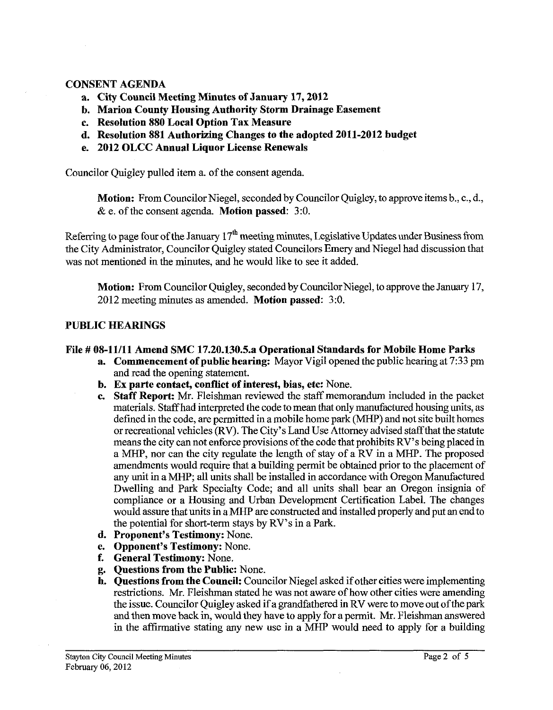#### **CONSENT AGENDA**

- **a. City Council Meeting Minutes of January 17,2012**
- **b. Marion County Housing Authority Storm Drainage Easement**
- **c. Resolution 880 Local Option Tax Measure**
- **d. Resolution 881 Authorizing Changes to the adopted 2011-2012 budget**
- **e. 2012 OLCC Annual Liquor License Renewals**

Councilor Quigley pulled item a. of the consent agenda.

**Motion:** From Councilor Niegel, seconded by Councilor Quigley, to approve items b., c., d., & e. of the consent agenda. **Motion passed: 3:O.** 

Referring to page four of the January **17"** meeting minutes, Legislative Updates under Business from the City Administrator, Councilor Quigley stated Councilors Emery and Niegel had discussion that was not mentioned in the minutes, and he would like to see it added.

**Motion:** From Councilor Quigley, seconded by Councilor Niegel, to approve the January 17, **2012** meeting minutes as amended. **Motion passed:** 3:O.

#### **PUBLIC HEARINGS**

#### **File** # **08-11111 Amend SMC 17.20.130.5.a Operational Standards for Mobile Home Parks**

- **a. Commencement of public bearing:** Mayor Vigil opened the public hearing at **7:33** pm and read the opening statement.
- **b. Ex parte contact, conflict of interest, bias, etc:** None.
- **c. Staff Report:** Mr. Fleishman reviewed the staff memorandum included in the packet materials. Staff had interpreted the code to mean that only manufactured housing units, as defined in the code, are permitted in a mobile home park (MHP) and not site built homes or recreational vehicles (RV). The City's Land Use Attorney advised staffthat the statute means the city can not enforce provisions of the code that prohibits RV's being placed in a MHP, nor can the city regulate the length of stay of a RV in a MHP. The proposed amendments would require that a buildimg permit be obtained prior to the placement of any unit in a MHP; all units shall be installed in accordance with Oregon Manufactured Dwelling and Park Specialty Code; and all units shall bear an Oregon insignia of compliance or a Housing and Urban Development Certification Label. The changes would assure that units in a MHP are constructed and installed properly and put **an** end to the potential for short-term stays by RV's in a Park.
- **d. Proponent's Testimony:** None.
- **e. Opponent's Testimony:** None.
- **f. General Testimony:** None.
- **g. Questions from the Public:** None.
- **h. Questions from the Council:** Councilor Niegel asked if other cities were implementing restrictions. Mr. Fleishman stated he was not aware of how other cities were amending the issue. Councilor Quigley asked if a grandfathered in RV were to move out of the park and then move back in, would they have to apply for a permit. Mr. Fleishman answered in the affirmative stating any new use in a MHP would need to apply for a building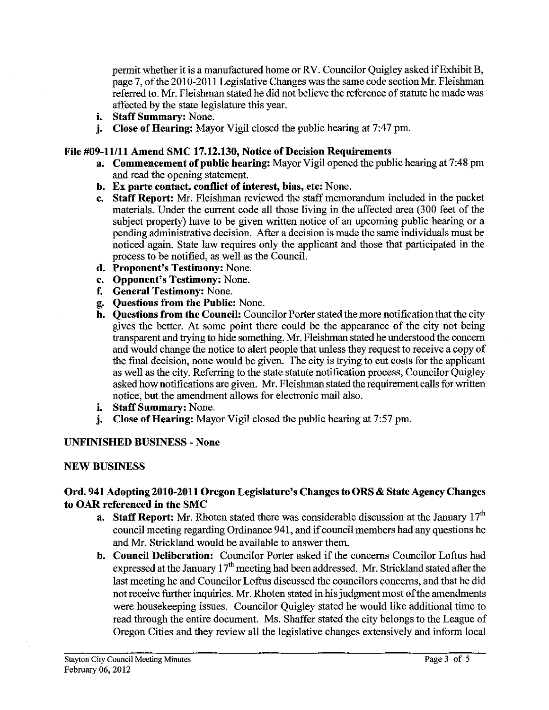permit whether it is a manufactured home or RV. Councilor Quigley asked if Exhibit B, page 7, of the 2010-2011 Legislative Changes was the same code section Mr. Fleishman referred to. Mr. Fleishman stated he did not believe the reference of statute he made was affected by the state legislature this year.

- **i. Staff Summary:** None.
- **j. Close of Hearing:** Mayor Vigil closed the public hearing at 7:47 pm.

## **File #09-11111 Amend SMC 17.12.130, Notice of Decision Requirements**

- **a. Commencement of public hearing:** Mayor Vigil opened the public hearing at 7:48 pm and read the opening statement.
- **b. Ex parte contact, conflict of interest, bias, etc:** None.
- **c. Staff Report: Mr.** Fleishman reviewed the staff memorandum included in the packet materials. Under the current code all those living in the affected area (300 feet of the subject property) have to be given written notice of an upcoming public hearing or a pending administrative decision. After a decision is made the same individuals must be noticed again. State law requires only the applicant and those that participated in the process to be notified, as well as the Council.
- **d. Proponent's Testimony:** None.
- **e. Opponent's Testimony:** None.
- **f. General Testimony:** None.
- **g. Questions from the Public:** None.
- **h. Questions from the Council:** Councilor Porter stated the more notification that the city gives the better. At some point there could be the appearance of the city not being transparent and trying to hide something. Mr. Fleishman stated he understood the concern and would change the notice to alert people that unless they request to receive a copy of the fmal decision, none would be given. The city is trying to cut costs for the applicant as well as the city. Referring to the state statute notification process, Councilor Quigley asked how notifications are given. Mr. Fleishman stated the requirement calls for written notice, but the amendment allows for electronic mail also.
- **i. Staff Summary:** None.
- **j. Close of Hearing:** Mayor Vigil closed the public hearing at 7:57 pm.

## **UNFINISHED BUSINESS** - **None**

#### **NEW BUSINESS**

## Ord. 941 Adopting 2010-2011 Oregon Legislature's Changes to ORS & State Agency Changes **to OAR referenced in the SMC**

- **a.** Staff Report: Mr. Rhoten stated there was considerable discussion at the January 17<sup>th</sup> council meeting regarding Ordinance 941, and if council members had any questions he and Mr. Strickland would be available to answer them.
- **b. Council Deliberation:** Councilor Porter asked if the concerns Councilor Loftus had expressed at the January 17" meeting had been addressed. Mr. Strickland stated after the last meeting he and Councilor Loftus discussed the councilors concerns, and that he did not receive further inquiries. Mr. Rhoten stated in his judgment most of the amendments were housekeeping issues. Councilor Quigley stated he would like additional time to read through the entire document. Ms. Shaffer stated the city belongs to the League of Oregon Cities and they review all the legislative changes extensively and inform local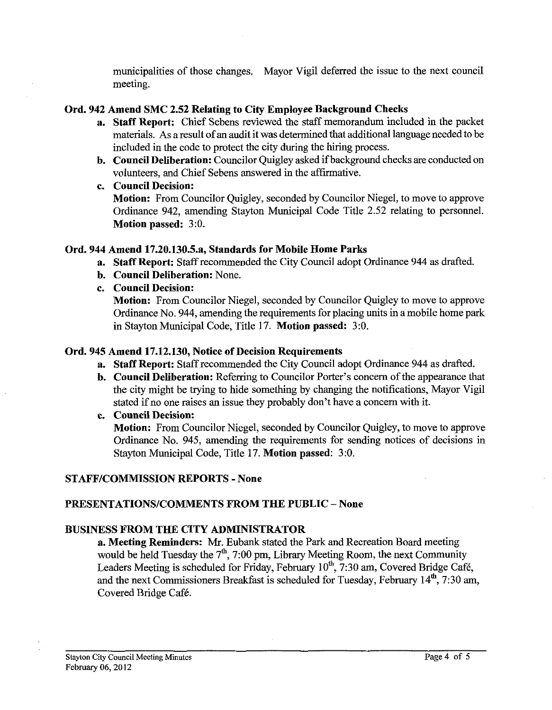municipalities of those changes. Mayor Vigil deferred the issue to the next council meeting.

## **Ord. 942 Amend SMC 2.52 Relating to City Employee Background Checks**

- **a. Staff Report:** Chief Sebens reviewed the staff memorandum included in the packet materials. As a result of an audit it was determined that additional language needed to be included in the code to protect the city during the hiring process.
- **b. Council Deliberation:** Councilor Quigley asked if background checks are conducted on volunteers, and Chief Sebens answered in the affirmative.
- **c. Council Decision:**

**Motion:** From Councilor Quigley, seconded by Councilor Niegel, to move to approve Ordinance 942, amending Stayton Municipal Code Title 2.52 relating to personnel. **Motion passed:** 3:O.

## **Ord. 944 Amend 17.20.130.5.a, Standards for Mobile Home Parks**

**a.** Staff Report: Staff recommended the City Council adopt Ordinance 944 as drafted.

- **b. Council Deliberation:** None.
- **c. Council Decision:**

**Motion:** From Councilor Niegel, seconded by Councilor Quigley to move to approve Ordinance No. 944, amending the requirements for placing units in a mobile home park in Stayton Municipal Code, Title 17. **Motion passed:** 3:O.

## **Ord. 945 Amend 17.12.130, Notice of Decision Requirements**

- **a.** Staff Report: Staff recommended the City Council adopt Ordinance 944 as drafted.
- **b. Council Deliberation:** Referring to Councilor Porter's concern of the appearance that the city might be trying to hide something by changing the notifications, Mayor Vigil stated if no one raises an issue they probably don't have a concern with it.
- **c. Council Decision:**

**Motion:** From Councilor Niegel, seconded by Councilor Quigley, to move to approve Ordinance No. 945, amending the requirements for sending notices of decisions in Stayton Municipal Code, Title 17. **Motion passed:** 3:O.

# **STAFFICOMMISSION REPORTS** - **None**

# **PRESENTATIONSICOMMENTS FROM THE PUBLIC** - **None**

# **BUSINESS FROM THE CITY ADMINISTRATOR**

**a. Meeting Reminders: Mr.** Eubank stated the Park and Recreation Board meeting would be held Tuesday the  $7<sup>th</sup>$ , 7:00 pm, Library Meeting Room, the next Community Leaders Meeting is scheduled for Friday, February 10<sup>th</sup>, 7:30 am, Covered Bridge Café, and the next Commissioners Breakfast is scheduled for Tuesday, February 14", 7:30 am, Covered Bridge Café.